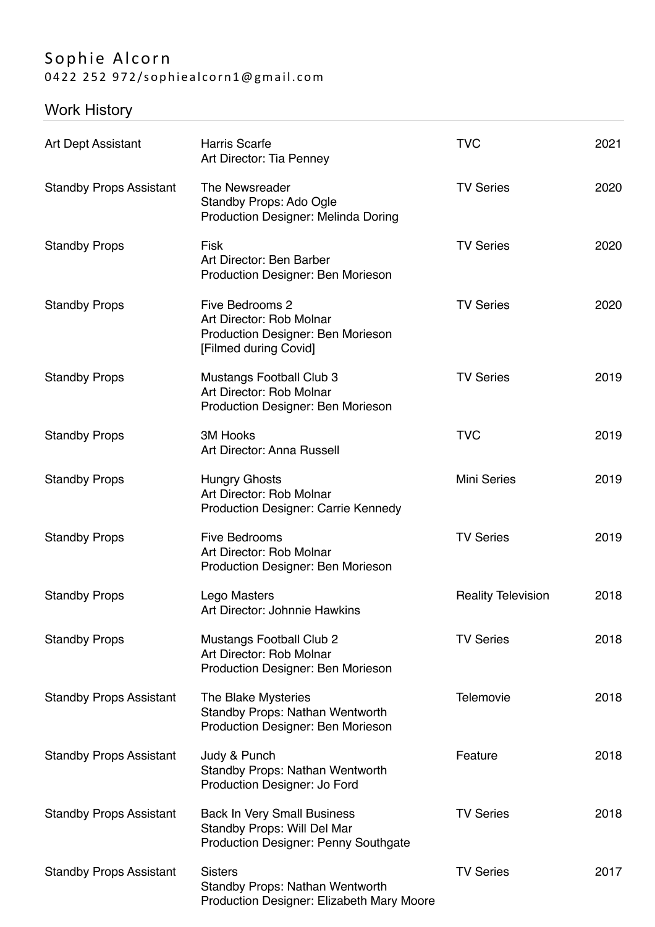## Sophie Alcorn 0422 252 972/sophiealcorn1@gmail.com

## Work History

|                                |                                                                                                                  | <b>TVC</b>                | 2021 |
|--------------------------------|------------------------------------------------------------------------------------------------------------------|---------------------------|------|
| <b>Art Dept Assistant</b>      | <b>Harris Scarfe</b><br>Art Director: Tia Penney                                                                 |                           |      |
| <b>Standby Props Assistant</b> | The Newsreader<br>Standby Props: Ado Ogle<br><b>Production Designer: Melinda Doring</b>                          | <b>TV Series</b>          | 2020 |
| <b>Standby Props</b>           | <b>Fisk</b><br>Art Director: Ben Barber<br>Production Designer: Ben Morieson                                     | <b>TV Series</b>          | 2020 |
| <b>Standby Props</b>           | Five Bedrooms 2<br>Art Director: Rob Molnar<br>Production Designer: Ben Morieson<br>[Filmed during Covid]        | <b>TV Series</b>          | 2020 |
| <b>Standby Props</b>           | Mustangs Football Club 3<br>Art Director: Rob Molnar<br>Production Designer: Ben Morieson                        | <b>TV Series</b>          | 2019 |
| <b>Standby Props</b>           | <b>3M Hooks</b><br>Art Director: Anna Russell                                                                    | <b>TVC</b>                | 2019 |
| <b>Standby Props</b>           | <b>Hungry Ghosts</b><br>Art Director: Rob Molnar<br><b>Production Designer: Carrie Kennedy</b>                   | <b>Mini Series</b>        | 2019 |
| <b>Standby Props</b>           | <b>Five Bedrooms</b><br>Art Director: Rob Molnar<br>Production Designer: Ben Morieson                            | <b>TV Series</b>          | 2019 |
| <b>Standby Props</b>           | Lego Masters<br>Art Director: Johnnie Hawkins                                                                    | <b>Reality Television</b> | 2018 |
| <b>Standby Props</b>           | <b>Mustangs Football Club 2</b><br>Art Director: Rob Molnar<br>Production Designer: Ben Morieson                 | <b>TV Series</b>          | 2018 |
| <b>Standby Props Assistant</b> | The Blake Mysteries<br><b>Standby Props: Nathan Wentworth</b><br>Production Designer: Ben Morieson               | <b>Telemovie</b>          | 2018 |
| <b>Standby Props Assistant</b> | Judy & Punch<br><b>Standby Props: Nathan Wentworth</b><br>Production Designer: Jo Ford                           | Feature                   | 2018 |
| <b>Standby Props Assistant</b> | <b>Back In Very Small Business</b><br>Standby Props: Will Del Mar<br><b>Production Designer: Penny Southgate</b> | <b>TV Series</b>          | 2018 |
| <b>Standby Props Assistant</b> | <b>Sisters</b><br><b>Standby Props: Nathan Wentworth</b><br>Production Designer: Elizabeth Mary Moore            | <b>TV Series</b>          | 2017 |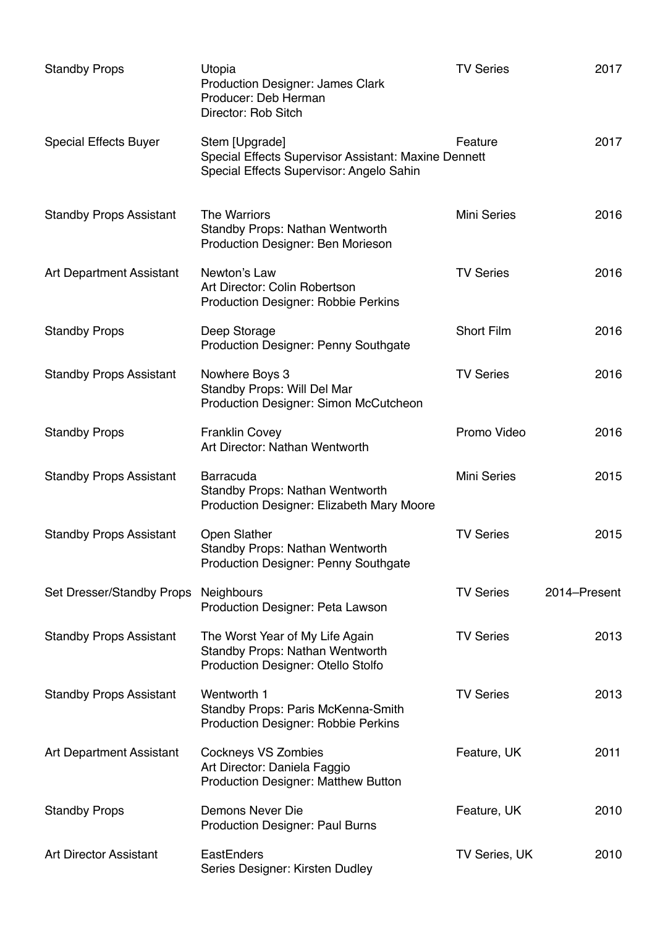| <b>Standby Props</b>            | Utopia<br><b>Production Designer: James Clark</b><br>Producer: Deb Herman<br>Director: Rob Sitch                   | <b>TV Series</b>   | 2017         |
|---------------------------------|--------------------------------------------------------------------------------------------------------------------|--------------------|--------------|
| <b>Special Effects Buyer</b>    | Stem [Upgrade]<br>Special Effects Supervisor Assistant: Maxine Dennett<br>Special Effects Supervisor: Angelo Sahin | Feature            | 2017         |
| <b>Standby Props Assistant</b>  | <b>The Warriors</b><br>Standby Props: Nathan Wentworth<br>Production Designer: Ben Morieson                        | <b>Mini Series</b> | 2016         |
| <b>Art Department Assistant</b> | Newton's Law<br>Art Director: Colin Robertson<br><b>Production Designer: Robbie Perkins</b>                        | <b>TV Series</b>   | 2016         |
| <b>Standby Props</b>            | Deep Storage<br><b>Production Designer: Penny Southgate</b>                                                        | <b>Short Film</b>  | 2016         |
| <b>Standby Props Assistant</b>  | Nowhere Boys 3<br>Standby Props: Will Del Mar<br><b>Production Designer: Simon McCutcheon</b>                      | <b>TV Series</b>   | 2016         |
| <b>Standby Props</b>            | <b>Franklin Covey</b><br>Art Director: Nathan Wentworth                                                            | Promo Video        | 2016         |
| <b>Standby Props Assistant</b>  | <b>Barracuda</b><br><b>Standby Props: Nathan Wentworth</b><br>Production Designer: Elizabeth Mary Moore            | <b>Mini Series</b> | 2015         |
| <b>Standby Props Assistant</b>  | Open Slather<br><b>Standby Props: Nathan Wentworth</b><br><b>Production Designer: Penny Southgate</b>              | <b>TV Series</b>   | 2015         |
| Set Dresser/Standby Props       | <b>Neighbours</b><br>Production Designer: Peta Lawson                                                              | <b>TV Series</b>   | 2014-Present |
| <b>Standby Props Assistant</b>  | The Worst Year of My Life Again<br><b>Standby Props: Nathan Wentworth</b><br>Production Designer: Otello Stolfo    | <b>TV Series</b>   | 2013         |
| <b>Standby Props Assistant</b>  | Wentworth 1<br>Standby Props: Paris McKenna-Smith<br><b>Production Designer: Robbie Perkins</b>                    | <b>TV Series</b>   | 2013         |
| Art Department Assistant        | <b>Cockneys VS Zombies</b><br>Art Director: Daniela Faggio<br><b>Production Designer: Matthew Button</b>           | Feature, UK        | 2011         |
| <b>Standby Props</b>            | <b>Demons Never Die</b><br><b>Production Designer: Paul Burns</b>                                                  | Feature, UK        | 2010         |
| <b>Art Director Assistant</b>   | EastEnders<br>Series Designer: Kirsten Dudley                                                                      | TV Series, UK      | 2010         |